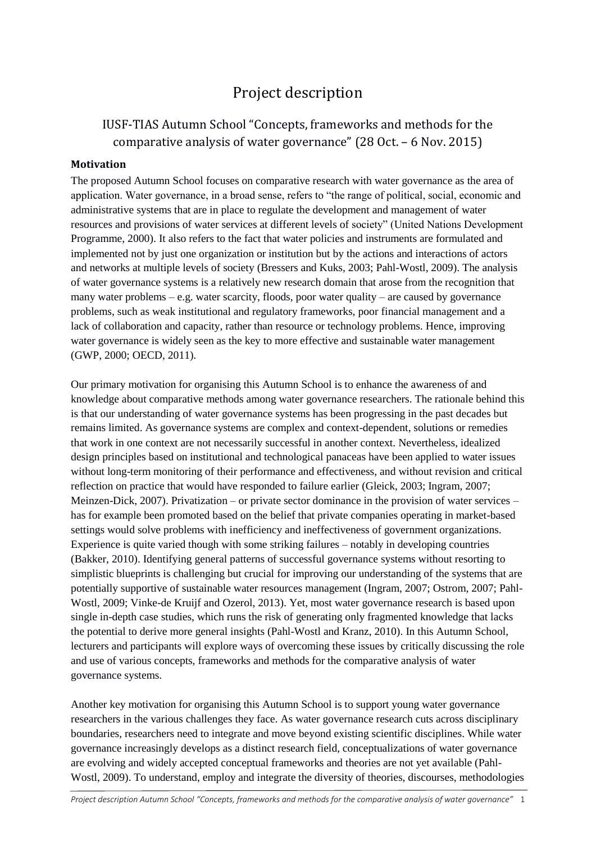# Project description

# IUSF-TIAS Autumn School "Concepts, frameworks and methods for the comparative analysis of water governance" (28 Oct. – 6 Nov. 2015)

# **Motivation**

The proposed Autumn School focuses on comparative research with water governance as the area of application. Water governance, in a broad sense, refers to "the range of political, social, economic and administrative systems that are in place to regulate the development and management of water resources and provisions of water services at different levels of society" (United Nations Development Programme, 2000). It also refers to the fact that water policies and instruments are formulated and implemented not by just one organization or institution but by the actions and interactions of actors and networks at multiple levels of society (Bressers and Kuks, 2003; Pahl-Wostl, 2009). The analysis of water governance systems is a relatively new research domain that arose from the recognition that many water problems – e.g. water scarcity, floods, poor water quality – are caused by governance problems, such as weak institutional and regulatory frameworks, poor financial management and a lack of collaboration and capacity, rather than resource or technology problems. Hence, improving water governance is widely seen as the key to more effective and sustainable water management (GWP, 2000; OECD, 2011).

Our primary motivation for organising this Autumn School is to enhance the awareness of and knowledge about comparative methods among water governance researchers. The rationale behind this is that our understanding of water governance systems has been progressing in the past decades but remains limited. As governance systems are complex and context-dependent, solutions or remedies that work in one context are not necessarily successful in another context. Nevertheless, idealized design principles based on institutional and technological panaceas have been applied to water issues without long-term monitoring of their performance and effectiveness, and without revision and critical reflection on practice that would have responded to failure earlier (Gleick, 2003; Ingram, 2007; Meinzen-Dick, 2007). Privatization – or private sector dominance in the provision of water services – has for example been promoted based on the belief that private companies operating in market-based settings would solve problems with inefficiency and ineffectiveness of government organizations. Experience is quite varied though with some striking failures – notably in developing countries (Bakker, 2010). Identifying general patterns of successful governance systems without resorting to simplistic blueprints is challenging but crucial for improving our understanding of the systems that are potentially supportive of sustainable water resources management (Ingram, 2007; Ostrom, 2007; Pahl-Wostl, 2009; Vinke-de Kruijf and Ozerol, 2013). Yet, most water governance research is based upon single in-depth case studies, which runs the risk of generating only fragmented knowledge that lacks the potential to derive more general insights (Pahl-Wostl and Kranz, 2010). In this Autumn School, lecturers and participants will explore ways of overcoming these issues by critically discussing the role and use of various concepts, frameworks and methods for the comparative analysis of water governance systems.

Another key motivation for organising this Autumn School is to support young water governance researchers in the various challenges they face. As water governance research cuts across disciplinary boundaries, researchers need to integrate and move beyond existing scientific disciplines. While water governance increasingly develops as a distinct research field, conceptualizations of water governance are evolving and widely accepted conceptual frameworks and theories are not yet available (Pahl-Wostl, 2009). To understand, employ and integrate the diversity of theories, discourses, methodologies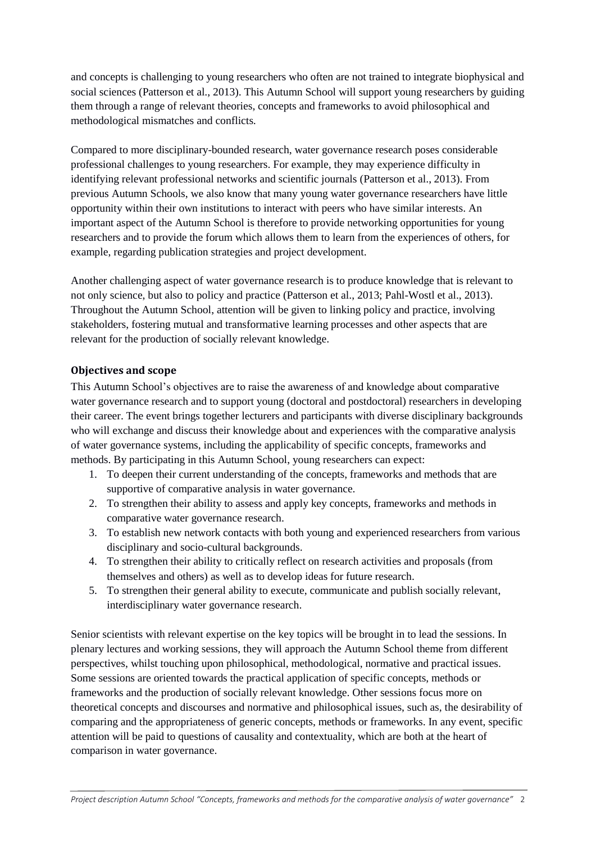and concepts is challenging to young researchers who often are not trained to integrate biophysical and social sciences (Patterson et al., 2013). This Autumn School will support young researchers by guiding them through a range of relevant theories, concepts and frameworks to avoid philosophical and methodological mismatches and conflicts.

Compared to more disciplinary-bounded research, water governance research poses considerable professional challenges to young researchers. For example, they may experience difficulty in identifying relevant professional networks and scientific journals (Patterson et al., 2013). From previous Autumn Schools, we also know that many young water governance researchers have little opportunity within their own institutions to interact with peers who have similar interests. An important aspect of the Autumn School is therefore to provide networking opportunities for young researchers and to provide the forum which allows them to learn from the experiences of others, for example, regarding publication strategies and project development.

Another challenging aspect of water governance research is to produce knowledge that is relevant to not only science, but also to policy and practice (Patterson et al., 2013; Pahl-Wostl et al., 2013). Throughout the Autumn School, attention will be given to linking policy and practice, involving stakeholders, fostering mutual and transformative learning processes and other aspects that are relevant for the production of socially relevant knowledge.

# **Objectives and scope**

This Autumn School's objectives are to raise the awareness of and knowledge about comparative water governance research and to support young (doctoral and postdoctoral) researchers in developing their career. The event brings together lecturers and participants with diverse disciplinary backgrounds who will exchange and discuss their knowledge about and experiences with the comparative analysis of water governance systems, including the applicability of specific concepts, frameworks and methods. By participating in this Autumn School, young researchers can expect:

- 1. To deepen their current understanding of the concepts, frameworks and methods that are supportive of comparative analysis in water governance.
- 2. To strengthen their ability to assess and apply key concepts, frameworks and methods in comparative water governance research.
- 3. To establish new network contacts with both young and experienced researchers from various disciplinary and socio-cultural backgrounds.
- 4. To strengthen their ability to critically reflect on research activities and proposals (from themselves and others) as well as to develop ideas for future research.
- 5. To strengthen their general ability to execute, communicate and publish socially relevant, interdisciplinary water governance research.

Senior scientists with relevant expertise on the key topics will be brought in to lead the sessions. In plenary lectures and working sessions, they will approach the Autumn School theme from different perspectives, whilst touching upon philosophical, methodological, normative and practical issues. Some sessions are oriented towards the practical application of specific concepts, methods or frameworks and the production of socially relevant knowledge. Other sessions focus more on theoretical concepts and discourses and normative and philosophical issues, such as, the desirability of comparing and the appropriateness of generic concepts, methods or frameworks. In any event, specific attention will be paid to questions of causality and contextuality, which are both at the heart of comparison in water governance.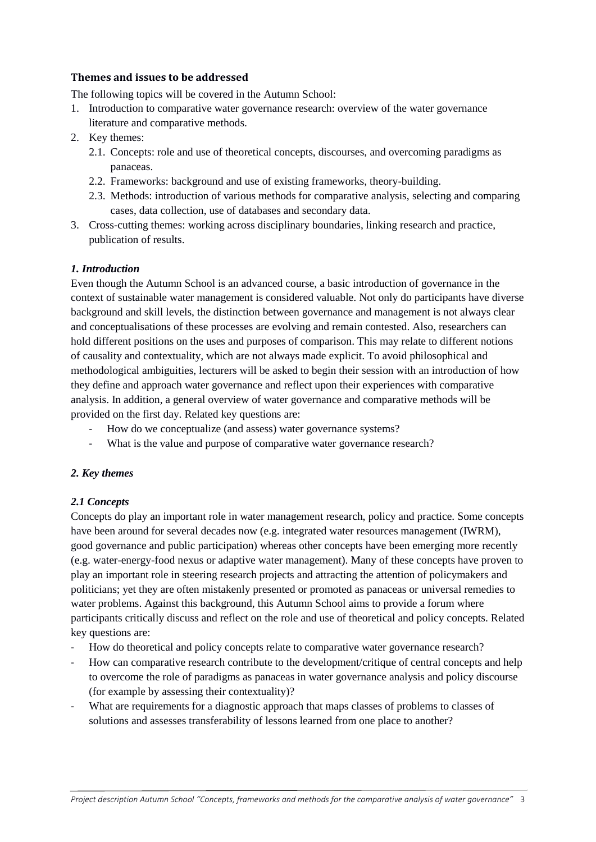# **Themes and issues to be addressed**

The following topics will be covered in the Autumn School:

- 1. Introduction to comparative water governance research: overview of the water governance literature and comparative methods.
- 2. Key themes:
	- 2.1. Concepts: role and use of theoretical concepts, discourses, and overcoming paradigms as panaceas.
	- 2.2. Frameworks: background and use of existing frameworks, theory-building.
	- 2.3. Methods: introduction of various methods for comparative analysis, selecting and comparing cases, data collection, use of databases and secondary data.
- 3. Cross-cutting themes: working across disciplinary boundaries, linking research and practice, publication of results.

# *1. Introduction*

Even though the Autumn School is an advanced course, a basic introduction of governance in the context of sustainable water management is considered valuable. Not only do participants have diverse background and skill levels, the distinction between governance and management is not always clear and conceptualisations of these processes are evolving and remain contested. Also, researchers can hold different positions on the uses and purposes of comparison. This may relate to different notions of causality and contextuality, which are not always made explicit. To avoid philosophical and methodological ambiguities, lecturers will be asked to begin their session with an introduction of how they define and approach water governance and reflect upon their experiences with comparative analysis. In addition, a general overview of water governance and comparative methods will be provided on the first day. Related key questions are:

- How do we conceptualize (and assess) water governance systems?
- What is the value and purpose of comparative water governance research?

# *2. Key themes*

# *2.1 Concepts*

Concepts do play an important role in water management research, policy and practice. Some concepts have been around for several decades now (e.g. integrated water resources management (IWRM), good governance and public participation) whereas other concepts have been emerging more recently (e.g. water-energy-food nexus or adaptive water management). Many of these concepts have proven to play an important role in steering research projects and attracting the attention of policymakers and politicians; yet they are often mistakenly presented or promoted as panaceas or universal remedies to water problems. Against this background, this Autumn School aims to provide a forum where participants critically discuss and reflect on the role and use of theoretical and policy concepts. Related key questions are:

- How do theoretical and policy concepts relate to comparative water governance research?
- How can comparative research contribute to the development/critique of central concepts and help to overcome the role of paradigms as panaceas in water governance analysis and policy discourse (for example by assessing their contextuality)?
- What are requirements for a diagnostic approach that maps classes of problems to classes of solutions and assesses transferability of lessons learned from one place to another?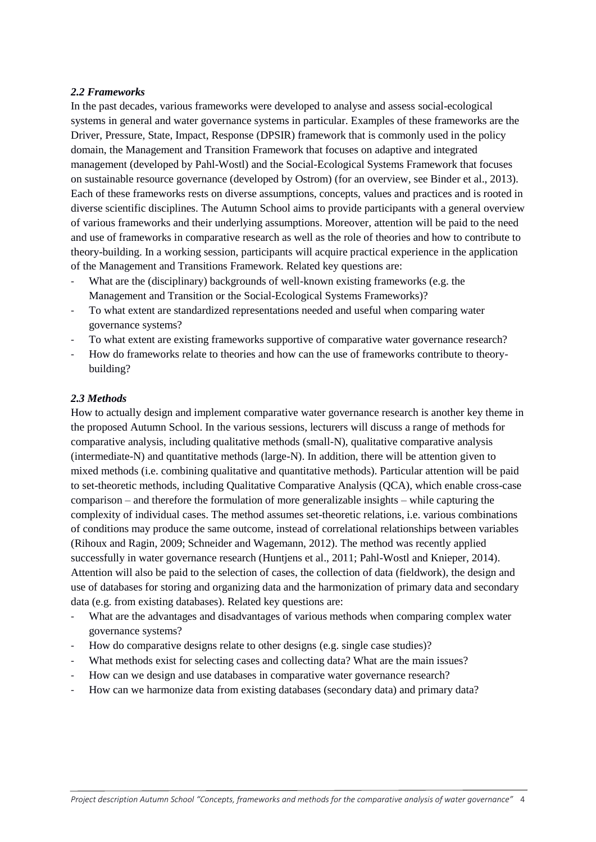#### *2.2 Frameworks*

In the past decades, various frameworks were developed to analyse and assess social-ecological systems in general and water governance systems in particular. Examples of these frameworks are the Driver, Pressure, State, Impact, Response (DPSIR) framework that is commonly used in the policy domain, the Management and Transition Framework that focuses on adaptive and integrated management (developed by Pahl-Wostl) and the Social-Ecological Systems Framework that focuses on sustainable resource governance (developed by Ostrom) (for an overview, see Binder et al., 2013). Each of these frameworks rests on diverse assumptions, concepts, values and practices and is rooted in diverse scientific disciplines. The Autumn School aims to provide participants with a general overview of various frameworks and their underlying assumptions. Moreover, attention will be paid to the need and use of frameworks in comparative research as well as the role of theories and how to contribute to theory-building. In a working session, participants will acquire practical experience in the application of the Management and Transitions Framework. Related key questions are:

- What are the (disciplinary) backgrounds of well-known existing frameworks (e.g. the Management and Transition or the Social-Ecological Systems Frameworks)?
- To what extent are standardized representations needed and useful when comparing water governance systems?
- To what extent are existing frameworks supportive of comparative water governance research?
- How do frameworks relate to theories and how can the use of frameworks contribute to theorybuilding?

#### *2.3 Methods*

How to actually design and implement comparative water governance research is another key theme in the proposed Autumn School. In the various sessions, lecturers will discuss a range of methods for comparative analysis, including qualitative methods (small-N), qualitative comparative analysis (intermediate-N) and quantitative methods (large-N). In addition, there will be attention given to mixed methods (i.e. combining qualitative and quantitative methods). Particular attention will be paid to set-theoretic methods, including Qualitative Comparative Analysis (QCA), which enable cross-case comparison – and therefore the formulation of more generalizable insights – while capturing the complexity of individual cases. The method assumes set-theoretic relations, i.e. various combinations of conditions may produce the same outcome, instead of correlational relationships between variables (Rihoux and Ragin, 2009; Schneider and Wagemann, 2012). The method was recently applied successfully in water governance research (Huntiens et al., 2011; Pahl-Wostl and Knieper, 2014). Attention will also be paid to the selection of cases, the collection of data (fieldwork), the design and use of databases for storing and organizing data and the harmonization of primary data and secondary data (e.g. from existing databases). Related key questions are:

- What are the advantages and disadvantages of various methods when comparing complex water governance systems?
- How do comparative designs relate to other designs (e.g. single case studies)?
- What methods exist for selecting cases and collecting data? What are the main issues?
- How can we design and use databases in comparative water governance research?
- How can we harmonize data from existing databases (secondary data) and primary data?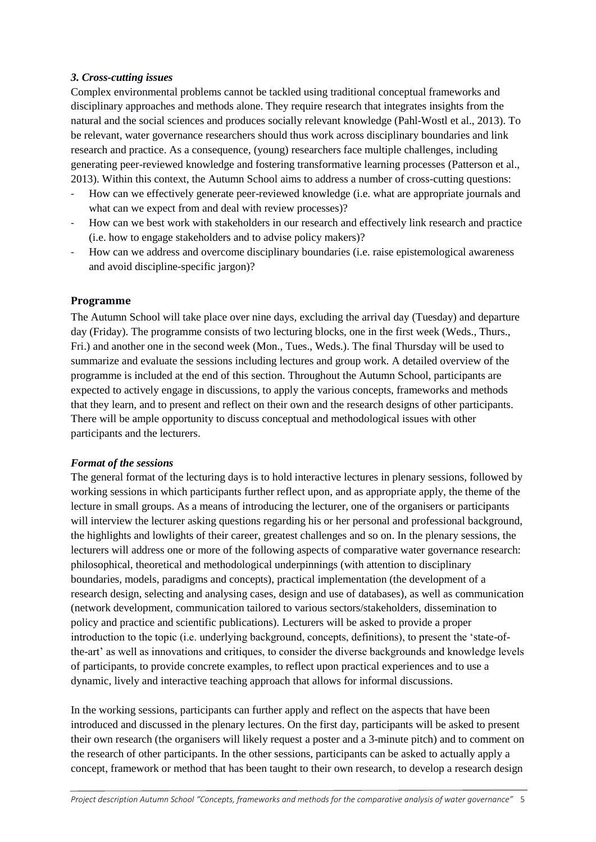# *3. Cross-cutting issues*

Complex environmental problems cannot be tackled using traditional conceptual frameworks and disciplinary approaches and methods alone. They require research that integrates insights from the natural and the social sciences and produces socially relevant knowledge (Pahl-Wostl et al., 2013). To be relevant, water governance researchers should thus work across disciplinary boundaries and link research and practice. As a consequence, (young) researchers face multiple challenges, including generating peer-reviewed knowledge and fostering transformative learning processes (Patterson et al., 2013). Within this context, the Autumn School aims to address a number of cross-cutting questions:

- How can we effectively generate peer-reviewed knowledge (i.e. what are appropriate journals and what can we expect from and deal with review processes)?
- How can we best work with stakeholders in our research and effectively link research and practice (i.e. how to engage stakeholders and to advise policy makers)?
- How can we address and overcome disciplinary boundaries (i.e. raise epistemological awareness and avoid discipline-specific jargon)?

### **Programme**

The Autumn School will take place over nine days, excluding the arrival day (Tuesday) and departure day (Friday). The programme consists of two lecturing blocks, one in the first week (Weds., Thurs., Fri.) and another one in the second week (Mon., Tues., Weds.). The final Thursday will be used to summarize and evaluate the sessions including lectures and group work. A detailed overview of the programme is included at the end of this section. Throughout the Autumn School, participants are expected to actively engage in discussions, to apply the various concepts, frameworks and methods that they learn, and to present and reflect on their own and the research designs of other participants. There will be ample opportunity to discuss conceptual and methodological issues with other participants and the lecturers.

#### *Format of the sessions*

The general format of the lecturing days is to hold interactive lectures in plenary sessions, followed by working sessions in which participants further reflect upon, and as appropriate apply, the theme of the lecture in small groups. As a means of introducing the lecturer, one of the organisers or participants will interview the lecturer asking questions regarding his or her personal and professional background, the highlights and lowlights of their career, greatest challenges and so on. In the plenary sessions, the lecturers will address one or more of the following aspects of comparative water governance research: philosophical, theoretical and methodological underpinnings (with attention to disciplinary boundaries, models, paradigms and concepts), practical implementation (the development of a research design, selecting and analysing cases, design and use of databases), as well as communication (network development, communication tailored to various sectors/stakeholders, dissemination to policy and practice and scientific publications). Lecturers will be asked to provide a proper introduction to the topic (i.e. underlying background, concepts, definitions), to present the 'state-ofthe-art' as well as innovations and critiques, to consider the diverse backgrounds and knowledge levels of participants, to provide concrete examples, to reflect upon practical experiences and to use a dynamic, lively and interactive teaching approach that allows for informal discussions.

In the working sessions, participants can further apply and reflect on the aspects that have been introduced and discussed in the plenary lectures. On the first day, participants will be asked to present their own research (the organisers will likely request a poster and a 3-minute pitch) and to comment on the research of other participants. In the other sessions, participants can be asked to actually apply a concept, framework or method that has been taught to their own research, to develop a research design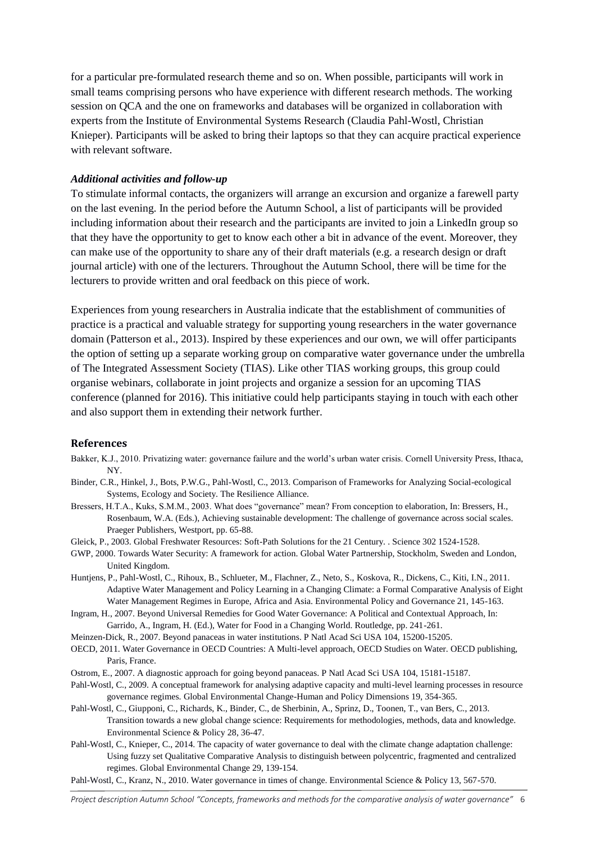for a particular pre-formulated research theme and so on. When possible, participants will work in small teams comprising persons who have experience with different research methods. The working session on QCA and the one on frameworks and databases will be organized in collaboration with experts from the Institute of Environmental Systems Research (Claudia Pahl-Wostl, Christian Knieper). Participants will be asked to bring their laptops so that they can acquire practical experience with relevant software.

#### *Additional activities and follow-up*

To stimulate informal contacts, the organizers will arrange an excursion and organize a farewell party on the last evening. In the period before the Autumn School, a list of participants will be provided including information about their research and the participants are invited to join a LinkedIn group so that they have the opportunity to get to know each other a bit in advance of the event. Moreover, they can make use of the opportunity to share any of their draft materials (e.g. a research design or draft journal article) with one of the lecturers. Throughout the Autumn School, there will be time for the lecturers to provide written and oral feedback on this piece of work.

Experiences from young researchers in Australia indicate that the establishment of communities of practice is a practical and valuable strategy for supporting young researchers in the water governance domain (Patterson et al., 2013). Inspired by these experiences and our own, we will offer participants the option of setting up a separate working group on comparative water governance under the umbrella of The Integrated Assessment Society (TIAS). Like other TIAS working groups, this group could organise webinars, collaborate in joint projects and organize a session for an upcoming TIAS conference (planned for 2016). This initiative could help participants staying in touch with each other and also support them in extending their network further.

#### **References**

- Bakker, K.J., 2010. Privatizing water: governance failure and the world's urban water crisis. Cornell University Press, Ithaca, NY.
- Binder, C.R., Hinkel, J., Bots, P.W.G., Pahl-Wostl, C., 2013. Comparison of Frameworks for Analyzing Social-ecological Systems, Ecology and Society. The Resilience Alliance.
- Bressers, H.T.A., Kuks, S.M.M., 2003. What does "governance" mean? From conception to elaboration, In: Bressers, H., Rosenbaum, W.A. (Eds.), Achieving sustainable development: The challenge of governance across social scales. Praeger Publishers, Westport, pp. 65-88.
- Gleick, P., 2003. Global Freshwater Resources: Soft-Path Solutions for the 21 Century. . Science 302 1524-1528.
- GWP, 2000. Towards Water Security: A framework for action. Global Water Partnership, Stockholm, Sweden and London, United Kingdom.
- Huntjens, P., Pahl-Wostl, C., Rihoux, B., Schlueter, M., Flachner, Z., Neto, S., Koskova, R., Dickens, C., Kiti, I.N., 2011. Adaptive Water Management and Policy Learning in a Changing Climate: a Formal Comparative Analysis of Eight Water Management Regimes in Europe, Africa and Asia. Environmental Policy and Governance 21, 145-163.
- Ingram, H., 2007. Beyond Universal Remedies for Good Water Governance: A Political and Contextual Approach, In: Garrido, A., Ingram, H. (Ed.), Water for Food in a Changing World. Routledge, pp. 241-261.
- Meinzen-Dick, R., 2007. Beyond panaceas in water institutions. P Natl Acad Sci USA 104, 15200-15205.
- OECD, 2011. Water Governance in OECD Countries: A Multi-level approach, OECD Studies on Water. OECD publishing, Paris, France.
- Ostrom, E., 2007. A diagnostic approach for going beyond panaceas. P Natl Acad Sci USA 104, 15181-15187.
- Pahl-Wostl, C., 2009. A conceptual framework for analysing adaptive capacity and multi-level learning processes in resource governance regimes. Global Environmental Change-Human and Policy Dimensions 19, 354-365.
- Pahl-Wostl, C., Giupponi, C., Richards, K., Binder, C., de Sherbinin, A., Sprinz, D., Toonen, T., van Bers, C., 2013. Transition towards a new global change science: Requirements for methodologies, methods, data and knowledge. Environmental Science & Policy 28, 36-47.
- Pahl-Wostl, C., Knieper, C., 2014. The capacity of water governance to deal with the climate change adaptation challenge: Using fuzzy set Qualitative Comparative Analysis to distinguish between polycentric, fragmented and centralized regimes. Global Environmental Change 29, 139-154.

Pahl-Wostl, C., Kranz, N., 2010. Water governance in times of change. Environmental Science & Policy 13, 567-570.